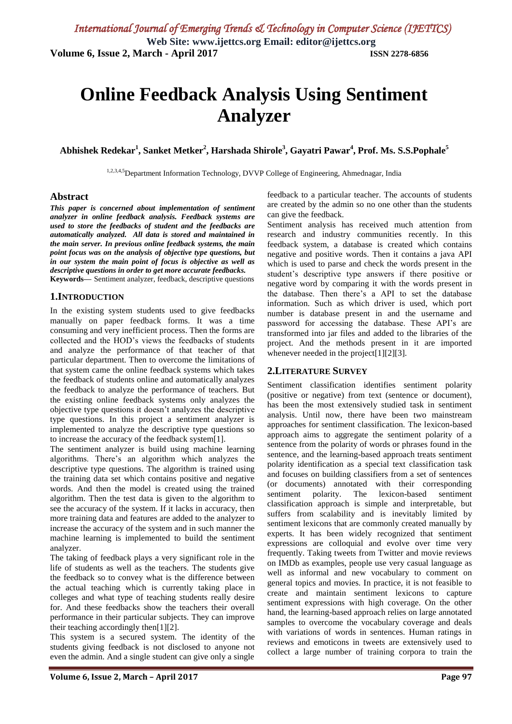# **Online Feedback Analysis Using Sentiment Analyzer**

**Abhishek Redekar<sup>1</sup> , Sanket Metker<sup>2</sup> , Harshada Shirole<sup>3</sup> , Gayatri Pawar<sup>4</sup> , Prof. Ms. S.S.Pophale<sup>5</sup>**

1,2,3,4,5Department Information Technology, DVVP College of Engineering, Ahmednagar, India

#### **Abstract**

*This paper is concerned about implementation of sentiment analyzer in online feedback analysis. Feedback systems are used to store the feedbacks of student and the feedbacks are automatically analyzed. All data is stored and maintained in the main server. In previous online feedback systems, the main point focus was on the analysis of objective type questions, but in our system the main point of focus is objective as well as descriptive questions in order to get more accurate feedbacks.* **Keywords—** Sentiment analyzer, feedback, descriptive questions

## **1.INTRODUCTION**

In the existing system students used to give feedbacks manually on paper feedback forms. It was a time consuming and very inefficient process. Then the forms are collected and the HOD's views the feedbacks of students and analyze the performance of that teacher of that particular department. Then to overcome the limitations of that system came the online feedback systems which takes the feedback of students online and automatically analyzes the feedback to analyze the performance of teachers. But the existing online feedback systems only analyzes the objective type questions it doesn't analyzes the descriptive type questions. In this project a sentiment analyzer is implemented to analyze the descriptive type questions so to increase the accuracy of the feedback system[1].

The sentiment analyzer is build using machine learning algorithms. There's an algorithm which analyzes the descriptive type questions. The algorithm is trained using the training data set which contains positive and negative words. And then the model is created using the trained algorithm. Then the test data is given to the algorithm to see the accuracy of the system. If it lacks in accuracy, then more training data and features are added to the analyzer to increase the accuracy of the system and in such manner the machine learning is implemented to build the sentiment analyzer.

The taking of feedback plays a very significant role in the life of students as well as the teachers. The students give the feedback so to convey what is the difference between the actual teaching which is currently taking place in colleges and what type of teaching students really desire for. And these feedbacks show the teachers their overall performance in their particular subjects. They can improve their teaching accordingly then[1][2].

This system is a secured system. The identity of the students giving feedback is not disclosed to anyone not even the admin. And a single student can give only a single

feedback to a particular teacher. The accounts of students are created by the admin so no one other than the students can give the feedback.

Sentiment analysis has received much attention from research and industry communities recently. In this feedback system, a database is created which contains negative and positive words. Then it contains a java API which is used to parse and check the words present in the student's descriptive type answers if there positive or negative word by comparing it with the words present in the database. Then there's a API to set the database information. Such as which driver is used, which port number is database present in and the username and password for accessing the database. These API's are transformed into jar files and added to the libraries of the project. And the methods present in it are imported whenever needed in the project[1][2][3].

## **2.LITERATURE SURVEY**

Sentiment classification identifies sentiment polarity (positive or negative) from text (sentence or document), has been the most extensively studied task in sentiment analysis. Until now, there have been two mainstream approaches for sentiment classification. The lexicon-based approach aims to aggregate the sentiment polarity of a sentence from the polarity of words or phrases found in the sentence, and the learning-based approach treats sentiment polarity identification as a special text classification task and focuses on building classifiers from a set of sentences (or documents) annotated with their corresponding sentiment polarity. The lexicon-based sentiment classification approach is simple and interpretable, but suffers from scalability and is inevitably limited by sentiment lexicons that are commonly created manually by experts. It has been widely recognized that sentiment expressions are colloquial and evolve over time very frequently. Taking tweets from Twitter and movie reviews on IMDb as examples, people use very casual language as well as informal and new vocabulary to comment on general topics and movies. In practice, it is not feasible to create and maintain sentiment lexicons to capture sentiment expressions with high coverage. On the other hand, the learning-based approach relies on large annotated samples to overcome the vocabulary coverage and deals with variations of words in sentences. Human ratings in reviews and emoticons in tweets are extensively used to collect a large number of training corpora to train the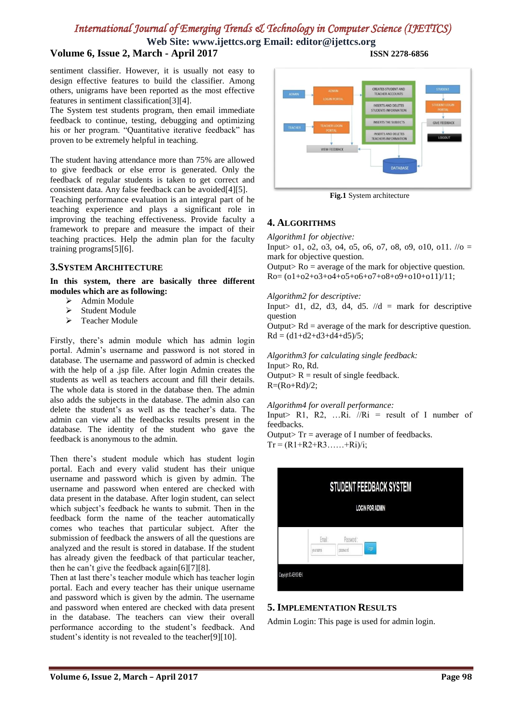**Web Site: www.ijettcs.org Email: editor@ijettcs.org**

# **Volume 6, Issue 2, March - April 2017 ISSN 2278-6856**

sentiment classifier. However, it is usually not easy to design effective features to build the classifier. Among others, unigrams have been reported as the most effective features in sentiment classification[3][4].

The System test students program, then email immediate feedback to continue, testing, debugging and optimizing his or her program. "Quantitative iterative feedback" has proven to be extremely helpful in teaching.

The student having attendance more than 75% are allowed to give feedback or else error is generated. Only the feedback of regular students is taken to get correct and consistent data. Any false feedback can be avoided[4][5].

Teaching performance evaluation is an integral part of he teaching experience and plays a significant role in improving the teaching effectiveness. Provide faculty a framework to prepare and measure the impact of their teaching practices. Help the admin plan for the faculty training programs[5][6].

#### **3.SYSTEM ARCHITECTURE**

**In this system, there are basically three different modules which are as following:** 

- $\geq$  Admin Module
- Student Module
- > Teacher Module

Firstly, there's admin module which has admin login portal. Admin's username and password is not stored in database. The username and password of admin is checked with the help of a .jsp file. After login Admin creates the students as well as teachers account and fill their details. The whole data is stored in the database then. The admin also adds the subjects in the database. The admin also can delete the student's as well as the teacher's data. The admin can view all the feedbacks results present in the database. The identity of the student who gave the feedback is anonymous to the admin.

Then there's student module which has student login portal. Each and every valid student has their unique username and password which is given by admin. The username and password when entered are checked with data present in the database. After login student, can select which subject's feedback he wants to submit. Then in the feedback form the name of the teacher automatically comes who teaches that particular subject. After the submission of feedback the answers of all the questions are analyzed and the result is stored in database. If the student has already given the feedback of that particular teacher, then he can't give the feedback again[6][7][8].

Then at last there's teacher module which has teacher login portal. Each and every teacher has their unique username and password which is given by the admin. The username and password when entered are checked with data present in the database. The teachers can view their overall performance according to the student's feedback. And student's identity is not revealed to the teacher[9][10].



**Fig.1** System architecture

## **4. ALGORITHMS**

*Algorithm1 for objective:*

Input >  $01, 02, 03, 04, 05, 06, 07, 08, 09, 010, 011.$  // $0 =$ mark for objective question.

Output> Ro = average of the mark for objective question. Ro= (o1+o2+o3+o4+o5+o6+o7+o8+o9+o10+o11)/11;

#### *Algorithm2 for descriptive:*

Input > d1, d2, d3, d4, d5.  $\sqrt{d}$  = mark for descriptive question

Output> Rd = average of the mark for descriptive question.  $Rd = (d1+d2+d3+d4+d5)/5$ ;

*Algorithm3 for calculating single feedback:* Input> Ro, Rd. Output>  $R$  = result of single feedback.  $R=(Ro+Rd)/2;$ 

*Algorithm4 for overall performance:*

Input> R1, R2, ...Ri.  $//Ri = result of I number of$ feedbacks.

Output>  $Tr = average of I$  number of feedbacks.  $Tr = (R1 + R2 + R3 \dots + Ri)/i;$ 



#### **5. IMPLEMENTATION RESULTS**

Admin Login: This page is used for admin login.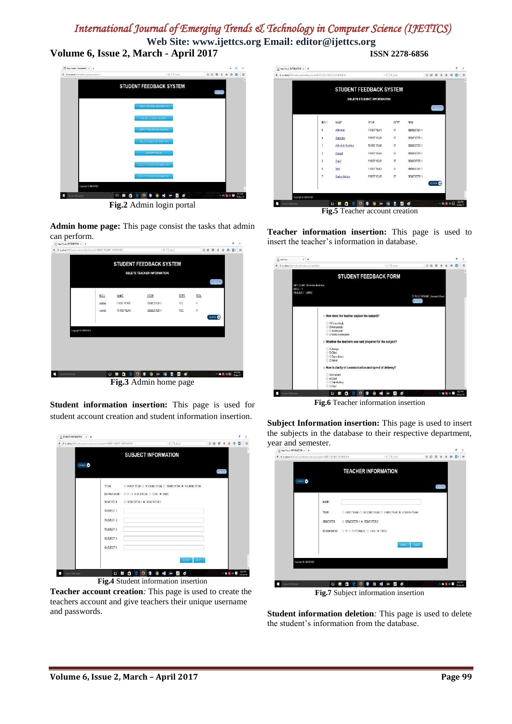**Web Site: www.ijettcs.org Email: editor@ijettcs.org Volume 6, Issue 2, March - April 2017 ISSN 2278-6856**



**Fig.2** Admin login portal

**Admin home page:** This page consist the tasks that admin can perform.



**Student information insertion:** This page is used for student account creation and student information insertion.

| → Bloodwat600/looksckialnin/soli-set.html/sstmik-16981-9.8937-14999/47126 |                   |                                  | $v \in \mathbb{R}$ front                             |                            | ☆ 白 | U      | $\cdot$ | e<br>音 | a- | $\equiv$ |
|---------------------------------------------------------------------------|-------------------|----------------------------------|------------------------------------------------------|----------------------------|-----|--------|---------|--------|----|----------|
|                                                                           |                   |                                  | <b>SUBJECT INFORMATION</b>                           |                            |     |        |         |        |    |          |
| CO BACK                                                                   |                   |                                  |                                                      |                            |     | Logout |         |        |    |          |
|                                                                           | <b>YEAR</b>       |                                  | O FIRST YEAR O SECOND YEAR O THRD YEAR * FOURTH YEAR |                            |     |        |         |        |    |          |
|                                                                           | <b>DEPARTMENT</b> | O IT O ELECTRICAL C CIVIL ® ENTC |                                                      |                            |     |        |         |        |    |          |
|                                                                           | <b>SEMESTER</b>   | O SEMESTER 1 ® SEMESTER 2        |                                                      |                            |     |        |         |        |    |          |
|                                                                           | SUBJECT 1:        |                                  |                                                      |                            |     |        |         |        |    |          |
|                                                                           | SUBJECT 2:        |                                  |                                                      |                            |     |        |         |        |    |          |
|                                                                           | SUBJECT 3:        |                                  |                                                      |                            |     |        |         |        |    |          |
|                                                                           | SUBJECT 4.        |                                  |                                                      |                            |     |        |         |        |    |          |
|                                                                           | SUBJECT 5         |                                  |                                                      |                            |     |        |         |        |    |          |
|                                                                           |                   |                                  |                                                      |                            |     |        |         |        |    |          |
|                                                                           |                   |                                  |                                                      | $40.151 -$<br><b>ABARD</b> |     |        |         |        |    |          |

**Fig.4** Student information insertion

**Teacher account creation***:* This page is used to create the teachers account and give teachers their unique username and passwords.

| + B localhoabilititiveductivednrshat.com.bmbleDEETL-STUDENT-INFORMATION |                         |                     |                                   | $=$ $C$ Q Semb         |                   | ☆ 自 | U        | š | ñ         | E-<br>$\Theta$ | $\equiv$ |
|-------------------------------------------------------------------------|-------------------------|---------------------|-----------------------------------|------------------------|-------------------|-----|----------|---|-----------|----------------|----------|
|                                                                         |                         |                     | <b>STUDENT FEEDBACK SYSTEM</b>    |                        |                   |     |          |   |           |                |          |
|                                                                         |                         |                     | <b>DELETE STUDENT INFORMATION</b> |                        |                   |     |          |   |           |                |          |
|                                                                         |                         |                     |                                   |                        |                   |     | Logout   |   |           |                |          |
|                                                                         |                         |                     |                                   |                        |                   |     |          |   |           |                |          |
|                                                                         | ROI1                    | <b>NAME</b>         | YFAR                              | <b>NPT</b>             | SFM               |     |          |   |           |                |          |
|                                                                         | 6                       | Abhishek            | <b>FIRST YEAR</b>                 | $\Pi$                  | SEMESTER 1        |     |          |   |           |                |          |
|                                                                         | $\overline{4}$          | Shubham             | <b>FIRST YEAR</b>                 | $\mathsf{I}\mathsf{T}$ | <b>SEMESTER 1</b> |     |          |   |           |                |          |
|                                                                         | 4                       | Abhishek Redekar    | THIRD YEAR                        | IT                     | SEMESTER 1        |     |          |   |           |                |          |
|                                                                         | $\overline{\mathbf{z}}$ | Prasad              | <b>FIRST YEAR</b>                 | IÏ                     | <b>SEMESTER 1</b> |     |          |   |           |                |          |
|                                                                         | 3                       | Sant                | <b>FIRST YEAR</b>                 | IT                     | SEMESTER 1        |     |          |   |           |                |          |
|                                                                         | 5                       | Vint                | <b>HIGH YEAR</b>                  | н                      | SEMESTER 1        |     |          |   |           |                |          |
|                                                                         | 7                       | <b>Sanket MeRen</b> | <b>FIRST YEAR</b>                 | IT                     | SEMESTER 1        |     |          |   |           |                |          |
|                                                                         |                         |                     |                                   |                        |                   |     | SO MOL O |   |           |                |          |
|                                                                         |                         |                     |                                   |                        |                   |     |          |   |           |                |          |
| Copyright @ ABHSHEK<br>Scarch Windows                                   |                         | 0 <sub>n</sub><br>m | S,                                |                        |                   |     |          |   | 八 如 属 胡 图 |                | 932 PM   |

**Fig.5** Teacher account creation

**Teacher information insertion:** This page is used to insert the teacher's information in database.

| anciens <b>R</b> | $x +$                                                 |                                                                                                                        |                                            |  |   | x        |
|------------------|-------------------------------------------------------|------------------------------------------------------------------------------------------------------------------------|--------------------------------------------|--|---|----------|
|                  | @ laurhaut@07colockYenbaskie/sdr-0855                 | $    -$                                                                                                                | ☆ ☆ ♡ ↓                                    |  | ٠ | $\equiv$ |
|                  |                                                       | <b>STUDENT FEEDBACK FORM</b>                                                                                           |                                            |  |   | ï        |
|                  | WEI COME Abhishek Redekar<br>ROLL: 1<br>SUBJECT: UBMS |                                                                                                                        |                                            |  |   |          |
|                  |                                                       |                                                                                                                        | <b>TEACHER NAME Aviresh Pund</b><br>Logaut |  |   |          |
|                  |                                                       | 1. How dose the teacher explain the subject?                                                                           |                                            |  |   |          |
|                  |                                                       | O A Exceedingly<br>O B.Adequately<br>O C Inadequate<br>O Ditolsily insdequate                                          |                                            |  |   |          |
|                  |                                                       | 2. Whether the teachers was well prepared for the subject?                                                             |                                            |  |   |          |
|                  |                                                       | O A Aleays<br>O B Ofies<br>O C Some lines.<br>O D Never                                                                |                                            |  |   |          |
|                  |                                                       | 3. How is clarity of communication and speed of delivery?<br>O A Excellent<br>O B.Cood<br>O.C.Satisfactory<br>O D Poor |                                            |  |   |          |

**Fig.6** Teacher information insertion

**Subject Information insertion:** This page is used to insert the subjects in the database to their respective department, year and semester.

|                     |                 | <b>TEACHER INFORMATION</b>       |                                                          |       |         |          |                            |  |
|---------------------|-----------------|----------------------------------|----------------------------------------------------------|-------|---------|----------|----------------------------|--|
| SOTATK <sub>O</sub> |                 |                                  |                                                          |       | tricout |          |                            |  |
|                     | NAME:           |                                  |                                                          |       |         |          |                            |  |
|                     | YEAR:           |                                  | C. FIRST YEAR O. SECOND YEAR O. THIRD YEAR @ FOURTH YEAR |       |         |          |                            |  |
|                     | <b>SEMESTER</b> | C SEMESTER 1 ® SEMESTER 2        |                                                          |       |         |          |                            |  |
|                     | DEPARTMENT      | O IT O ELECTRICAL O CIVIL ® ENTC |                                                          |       |         |          |                            |  |
|                     |                 |                                  | <b>BUEM?</b>                                             | RESET |         |          |                            |  |
|                     |                 |                                  |                                                          |       |         |          |                            |  |
| Copyright @ ADHSHEK |                 |                                  |                                                          |       |         |          |                            |  |
|                     |                 |                                  |                                                          |       |         |          |                            |  |
| Soarch Windows      | 0 ₪             | m                                | க<br>×<br>応<br>1<br>o                                    |       |         | 八面 2 3 页 | <b>BS2 PM</b><br>Zi-Dec-16 |  |

**Fig.7** Subject information insertion

**Student information deletion***:* This page is used to delete the student's information from the database.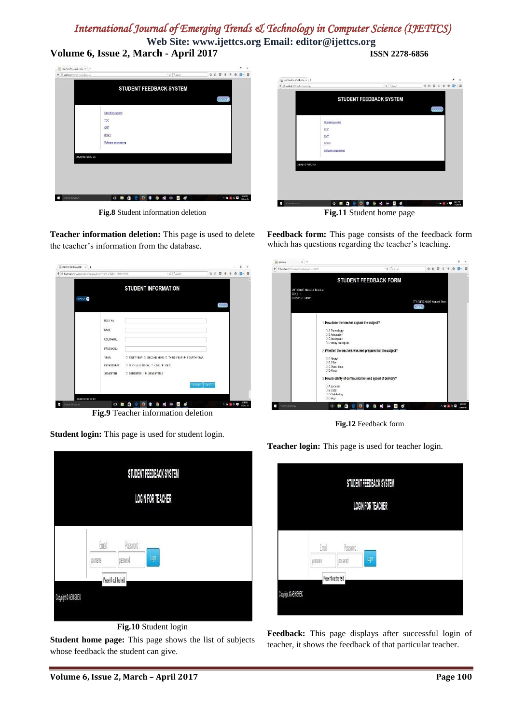**Web Site: www.ijettcs.org Email: editor@ijettcs.org Volume 6, Issue 2, March - April 2017 ISSN 2278-6856**



**Fig.8** Student information deletion



**Fig.11** Student home page

**Teacher information deletion:** This page is used to delete the teacher's information from the database.

|                     |                      | <b>STUDENT INFORMATION</b>                                                                |              |        |  |  |
|---------------------|----------------------|-------------------------------------------------------------------------------------------|--------------|--------|--|--|
| SOBACK <sup>O</sup> |                      |                                                                                           |              | Logout |  |  |
|                     | ROLL No.             |                                                                                           |              |        |  |  |
|                     | <b>NAME</b>          |                                                                                           |              |        |  |  |
|                     | <b>USERNAME:</b>     |                                                                                           |              |        |  |  |
|                     | PASSWORD:            |                                                                                           |              |        |  |  |
|                     | YEAR:<br>DEPARTMENT: | O FIRST YEAR O SECOND YEAR O THIRD YEAR @ FOURTH YEAR<br>O IT O ELECTRICAL O CIVIL ® ENTC |              |        |  |  |
|                     | SEMESTER             | ○ SEMESTER 1 ® SEMESTER 2                                                                 |              |        |  |  |
|                     |                      | <b>S. BVIT</b>                                                                            | <b>RESET</b> |        |  |  |

**Fig.9** Teacher information deletion

**Student login:** This page is used for student login.



**Fig.10** Student login

**Student home page:** This page shows the list of subjects whose feedback the student can give.

**Feedback form:** This page consists of the feedback form which has questions regarding the teacher's teaching.

| anicus 8.            | $x +$                                  |                                                                                     |                                            |       |   |          | r.                  | $\chi$    |
|----------------------|----------------------------------------|-------------------------------------------------------------------------------------|--------------------------------------------|-------|---|----------|---------------------|-----------|
|                      | + if bulbatiliting to interior and the | $\tau \in \mathbb{R}$ Sund                                                          |                                            | ☆ 白 四 | ň | e        | 日                   | Ξ         |
|                      |                                        | <b>STUDENT FEEDBACK FORM</b>                                                        |                                            |       |   |          |                     | $\lambda$ |
|                      | WEI COME Abhishek Redekar<br>ROLL: 1   |                                                                                     |                                            |       |   |          |                     |           |
|                      | SUBJECT: UBMS                          |                                                                                     | <b>TEACHER NAME Avinsed Pund</b><br>Locout |       |   |          |                     |           |
|                      |                                        | 1. How dose the teacher explain the subject?                                        |                                            |       |   |          |                     |           |
|                      |                                        | C A Exceedingly<br>O B.Adequately<br>O C Inadequate                                 |                                            |       |   |          |                     |           |
|                      |                                        | O Ditotally nadequate<br>2. Whether the teachers was well prepared for the subject? |                                            |       |   |          |                     |           |
|                      |                                        | O A Aleays<br>O B.Often<br>O C Some lines.<br>O D Never                             |                                            |       |   |          |                     |           |
|                      |                                        | 3. How is clarity of communication and speed of delivery?                           |                                            |       |   |          |                     |           |
|                      |                                        | O A Excellent<br>O B.Cood<br>O C Safisfactory<br>O D Papr                           |                                            |       |   |          |                     |           |
| Search Windows<br>P. |                                        | ø<br>×<br>O<br>閂<br>٠<br>喇<br>α<br>ţ<br>O                                           |                                            |       |   | 八仙 製 妖 厚 | 8:37 PM<br>21400016 |           |

**Fig.12** Feedback form

**Teacher login:** This page is used for teacher login.

|         |           | STUDENT FEEDBACK SYSTEM  |  |
|---------|-----------|--------------------------|--|
|         |           | <b>LOGIN FOR TEACHER</b> |  |
|         |           |                          |  |
| Fmail:  | Password: |                          |  |
| younane | Dassword  | Login                    |  |

**Feedback:** This page displays after successful login of teacher, it shows the feedback of that particular teacher.